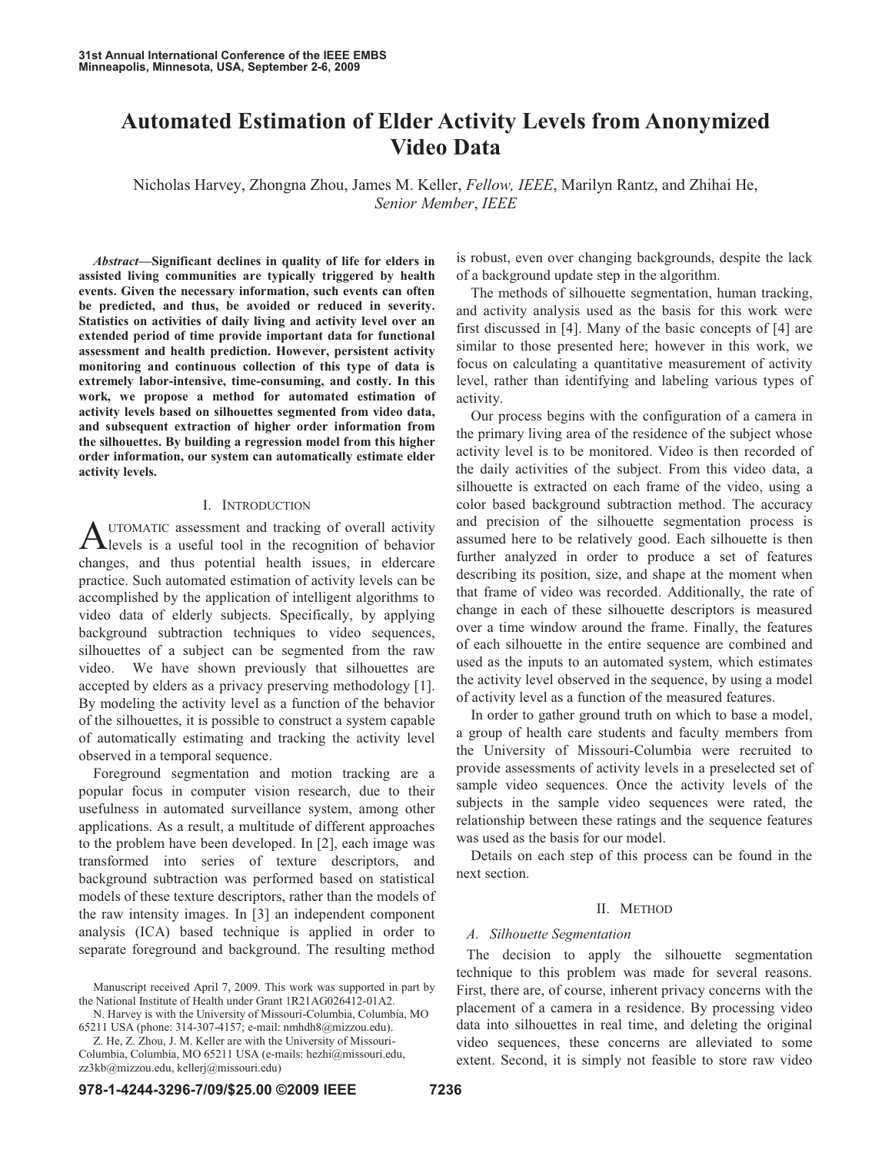# **Automated Estimation of Elder Activity Levels from Anonymized Video Data**

Nicholas Harvey, Zhongna Zhou, James M. Keller, *Fellow, IEEE*, Marilyn Rantz, and Zhihai He, *Senior Member*, *IEEE*

*Abstract***—Significant declines in quality of life for elders in assisted living communities are typically triggered by health events. Given the necessary information, such events can often be predicted, and thus, be avoided or reduced in severity. Statistics on activities of daily living and activity level over an extended period of time provide important data for functional assessment and health prediction. However, persistent activity monitoring and continuous collection of this type of data is extremely labor-intensive, time-consuming, and costly. In this work, we propose a method for automated estimation of activity levels based on silhouettes segmented from video data, and subsequent extraction of higher order information from the silhouettes. By building a regression model from this higher order information, our system can automatically estimate elder activity levels.** 

### I. INTRODUCTION

UTOMATIC assessment and tracking of overall activity A UTOMATIC assessment and tracking of overall activity<br>levels is a useful tool in the recognition of behavior changes, and thus potential health issues, in eldercare practice. Such automated estimation of activity levels can be accomplished by the application of intelligent algorithms to video data of elderly subjects. Specifically, by applying background subtraction techniques to video sequences, silhouettes of a subject can be segmented from the raw video. We have shown previously that silhouettes are accepted by elders as a privacy preserving methodology [1]. By modeling the activity level as a function of the behavior of the silhouettes, it is possible to construct a system capable of automatically estimating and tracking the activity level observed in a temporal sequence.

 Foreground segmentation and motion tracking are a popular focus in computer vision research, due to their usefulness in automated surveillance system, among other applications. As a result, a multitude of different approaches to the problem have been developed. In [2], each image was transformed into series of texture descriptors, and background subtraction was performed based on statistical models of these texture descriptors, rather than the models of the raw intensity images. In [3] an independent component analysis (ICA) based technique is applied in order to separate foreground and background. The resulting method

Manuscript received April 7, 2009. This work was supported in part by the National Institute of Health under Grant 1R21AG026412-01A2.

N. Harvey is with the University of Missouri-Columbia, Columbia, MO 65211 USA (phone: 314-307-4157; e-mail: nmhdh8@mizzou.edu).

Z. He, Z. Zhou, J. M. Keller are with the University of Missouri-Columbia, Columbia, MO 65211 USA (e-mails: hezhi@missouri.edu, zz3kb@mizzou.edu, kellerj@missouri.edu)

is robust, even over changing backgrounds, despite the lack of a background update step in the algorithm.

The methods of silhouette segmentation, human tracking, and activity analysis used as the basis for this work were first discussed in [4]. Many of the basic concepts of [4] are similar to those presented here; however in this work, we focus on calculating a quantitative measurement of activity level, rather than identifying and labeling various types of activity.

Our process begins with the configuration of a camera in the primary living area of the residence of the subject whose activity level is to be monitored. Video is then recorded of the daily activities of the subject. From this video data, a silhouette is extracted on each frame of the video, using a color based background subtraction method. The accuracy and precision of the silhouette segmentation process is assumed here to be relatively good. Each silhouette is then further analyzed in order to produce a set of features describing its position, size, and shape at the moment when that frame of video was recorded. Additionally, the rate of change in each of these silhouette descriptors is measured over a time window around the frame. Finally, the features of each silhouette in the entire sequence are combined and used as the inputs to an automated system, which estimates the activity level observed in the sequence, by using a model of activity level as a function of the measured features.

In order to gather ground truth on which to base a model, a group of health care students and faculty members from the University of Missouri-Columbia were recruited to provide assessments of activity levels in a preselected set of sample video sequences. Once the activity levels of the subjects in the sample video sequences were rated, the relationship between these ratings and the sequence features was used as the basis for our model.

Details on each step of this process can be found in the next section.

#### II. METHOD

#### *A. Silhouette Segmentation*

The decision to apply the silhouette segmentation technique to this problem was made for several reasons. First, there are, of course, inherent privacy concerns with the placement of a camera in a residence. By processing video data into silhouettes in real time, and deleting the original video sequences, these concerns are alleviated to some extent. Second, it is simply not feasible to store raw video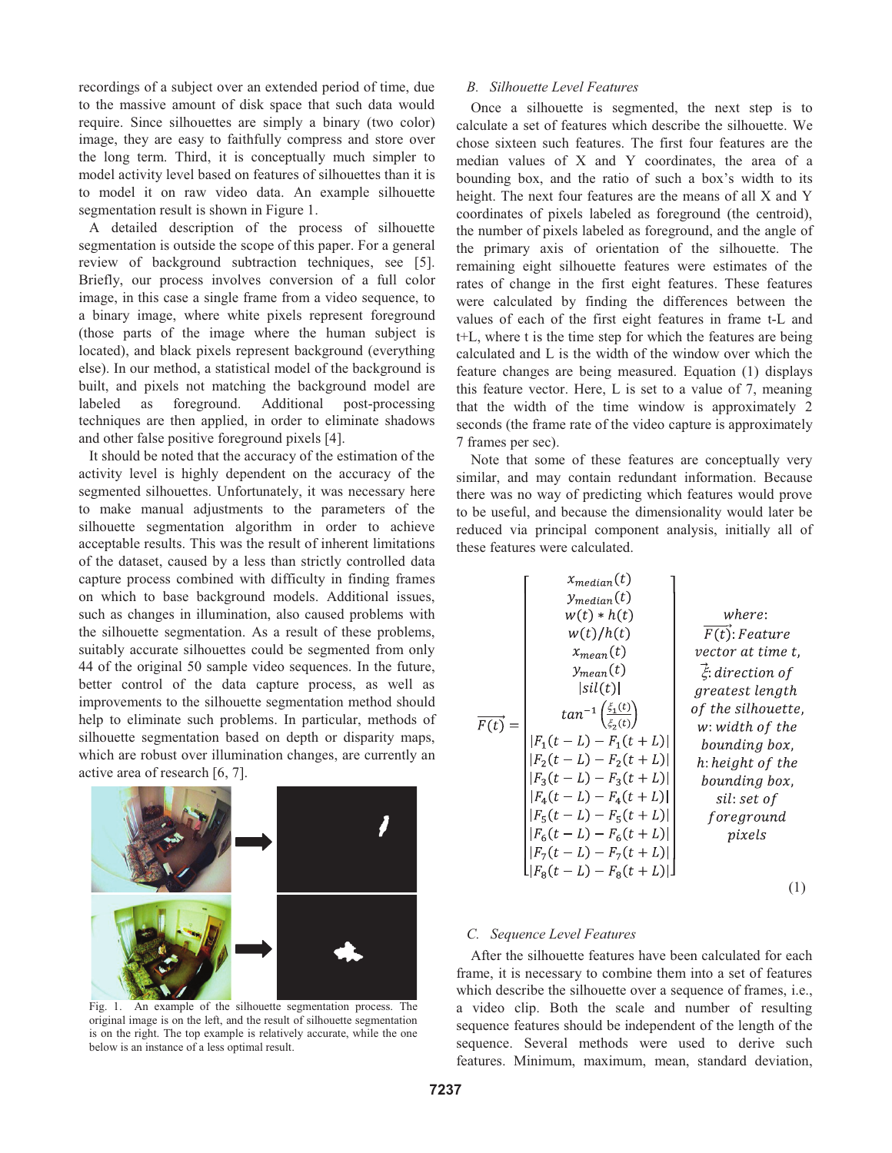recordings of a subject over an extended period of time, due to the massive amount of disk space that such data would require. Since silhouettes are simply a binary (two color) image, they are easy to faithfully compress and store over the long term. Third, it is conceptually much simpler to model activity level based on features of silhouettes than it is to model it on raw video data. An example silhouette segmentation result is shown in Figure 1.

A detailed description of the process of silhouette segmentation is outside the scope of this paper. For a general review of background subtraction techniques, see [5]. Briefly, our process involves conversion of a full color image, in this case a single frame from a video sequence, to a binary image, where white pixels represent foreground (those parts of the image where the human subject is located), and black pixels represent background (everything else). In our method, a statistical model of the background is built, and pixels not matching the background model are labeled as foreground. Additional post-processing techniques are then applied, in order to eliminate shadows and other false positive foreground pixels [4].

It should be noted that the accuracy of the estimation of the activity level is highly dependent on the accuracy of the segmented silhouettes. Unfortunately, it was necessary here to make manual adjustments to the parameters of the silhouette segmentation algorithm in order to achieve acceptable results. This was the result of inherent limitations of the dataset, caused by a less than strictly controlled data capture process combined with difficulty in finding frames on which to base background models. Additional issues, such as changes in illumination, also caused problems with the silhouette segmentation. As a result of these problems, suitably accurate silhouettes could be segmented from only 44 of the original 50 sample video sequences. In the future, better control of the data capture process, as well as improvements to the silhouette segmentation method should help to eliminate such problems. In particular, methods of silhouette segmentation based on depth or disparity maps, which are robust over illumination changes, are currently an active area of research [6, 7].



original image is on the left, and the result of silhouette segmentation is on the right. The top example is relatively accurate, while the one below is an instance of a less optimal result.

## *B. Silhouette Level Features*

Once a silhouette is segmented, the next step is to calculate a set of features which describe the silhouette. We chose sixteen such features. The first four features are the median values of X and Y coordinates, the area of a bounding box, and the ratio of such a box's width to its height. The next four features are the means of all X and Y coordinates of pixels labeled as foreground (the centroid), the number of pixels labeled as foreground, and the angle of the primary axis of orientation of the silhouette. The remaining eight silhouette features were estimates of the rates of change in the first eight features. These features were calculated by finding the differences between the values of each of the first eight features in frame t-L and t+L, where t is the time step for which the features are being calculated and L is the width of the window over which the feature changes are being measured. Equation (1) displays this feature vector. Here, L is set to a value of 7, meaning that the width of the time window is approximately 2 seconds (the frame rate of the video capture is approximately 7 frames per sec).

Note that some of these features are conceptually very similar, and may contain redundant information. Because there was no way of predicting which features would prove to be useful, and because the dimensionality would later be reduced via principal component analysis, initially all of these features were calculated.

(1)

### *C. Sequence Level Features*

After the silhouette features have been calculated for each frame, it is necessary to combine them into a set of features which describe the silhouette over a sequence of frames, i.e., a video clip. Both the scale and number of resulting sequence features should be independent of the length of the sequence. Several methods were used to derive such features. Minimum, maximum, mean, standard deviation,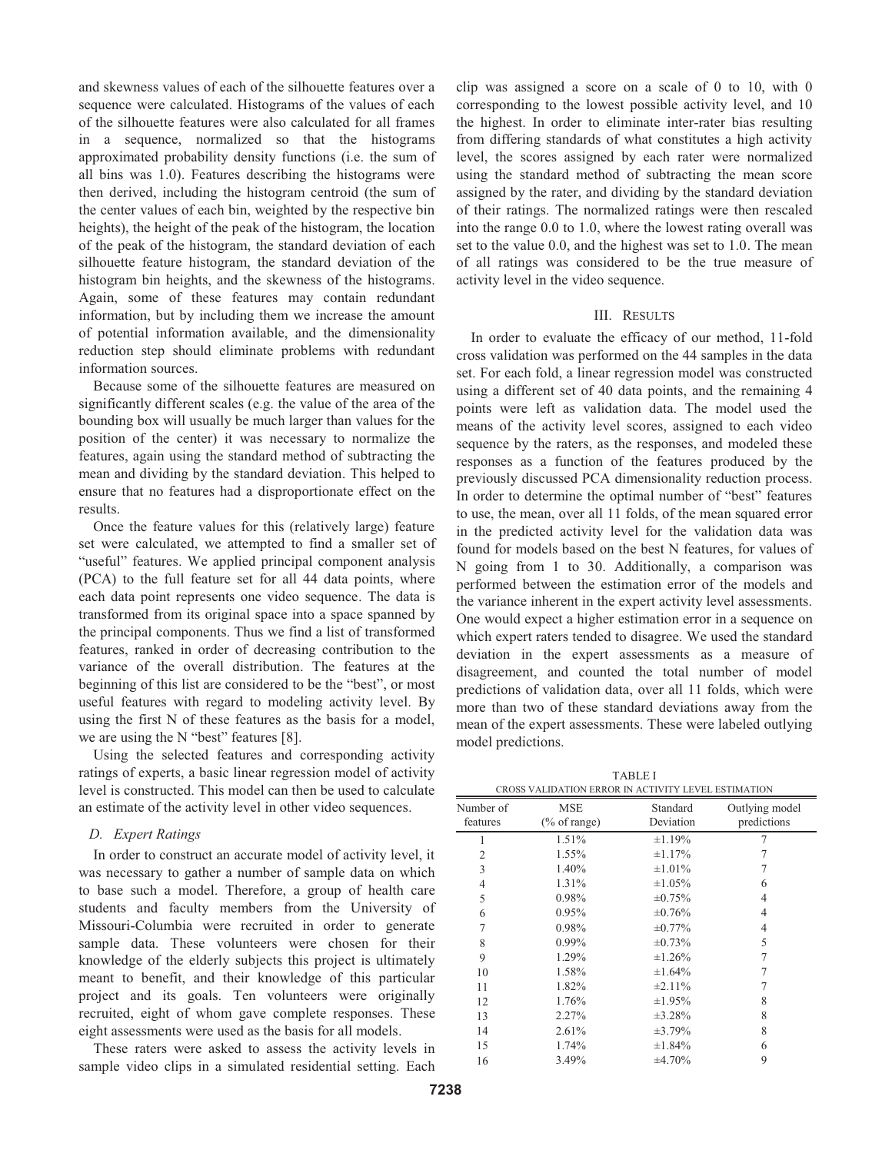and skewness values of each of the silhouette features over a sequence were calculated. Histograms of the values of each of the silhouette features were also calculated for all frames in a sequence, normalized so that the histograms approximated probability density functions (i.e. the sum of all bins was 1.0). Features describing the histograms were then derived, including the histogram centroid (the sum of the center values of each bin, weighted by the respective bin heights), the height of the peak of the histogram, the location of the peak of the histogram, the standard deviation of each silhouette feature histogram, the standard deviation of the histogram bin heights, and the skewness of the histograms. Again, some of these features may contain redundant information, but by including them we increase the amount of potential information available, and the dimensionality reduction step should eliminate problems with redundant information sources.

Because some of the silhouette features are measured on significantly different scales (e.g. the value of the area of the bounding box will usually be much larger than values for the position of the center) it was necessary to normalize the features, again using the standard method of subtracting the mean and dividing by the standard deviation. This helped to ensure that no features had a disproportionate effect on the results.

Once the feature values for this (relatively large) feature set were calculated, we attempted to find a smaller set of "useful" features. We applied principal component analysis (PCA) to the full feature set for all 44 data points, where each data point represents one video sequence. The data is transformed from its original space into a space spanned by the principal components. Thus we find a list of transformed features, ranked in order of decreasing contribution to the variance of the overall distribution. The features at the beginning of this list are considered to be the "best", or most useful features with regard to modeling activity level. By using the first N of these features as the basis for a model, we are using the N "best" features [8].

Using the selected features and corresponding activity ratings of experts, a basic linear regression model of activity level is constructed. This model can then be used to calculate an estimate of the activity level in other video sequences.

# *D. Expert Ratings*

In order to construct an accurate model of activity level, it was necessary to gather a number of sample data on which to base such a model. Therefore, a group of health care students and faculty members from the University of Missouri-Columbia were recruited in order to generate sample data. These volunteers were chosen for their knowledge of the elderly subjects this project is ultimately meant to benefit, and their knowledge of this particular project and its goals. Ten volunteers were originally recruited, eight of whom gave complete responses. These eight assessments were used as the basis for all models.

These raters were asked to assess the activity levels in sample video clips in a simulated residential setting. Each clip was assigned a score on a scale of 0 to 10, with 0 corresponding to the lowest possible activity level, and 10 the highest. In order to eliminate inter-rater bias resulting from differing standards of what constitutes a high activity level, the scores assigned by each rater were normalized using the standard method of subtracting the mean score assigned by the rater, and dividing by the standard deviation of their ratings. The normalized ratings were then rescaled into the range 0.0 to 1.0, where the lowest rating overall was set to the value 0.0, and the highest was set to 1.0. The mean of all ratings was considered to be the true measure of activity level in the video sequence.

## III. RESULTS

In order to evaluate the efficacy of our method, 11-fold cross validation was performed on the 44 samples in the data set. For each fold, a linear regression model was constructed using a different set of 40 data points, and the remaining 4 points were left as validation data. The model used the means of the activity level scores, assigned to each video sequence by the raters, as the responses, and modeled these responses as a function of the features produced by the previously discussed PCA dimensionality reduction process. In order to determine the optimal number of "best" features to use, the mean, over all 11 folds, of the mean squared error in the predicted activity level for the validation data was found for models based on the best N features, for values of N going from 1 to 30. Additionally, a comparison was performed between the estimation error of the models and the variance inherent in the expert activity level assessments. One would expect a higher estimation error in a sequence on which expert raters tended to disagree. We used the standard deviation in the expert assessments as a measure of disagreement, and counted the total number of model predictions of validation data, over all 11 folds, which were more than two of these standard deviations away from the mean of the expert assessments. These were labeled outlying model predictions.

TABLE I

| CROSS VALIDATION ERROR IN ACTIVITY LEVEL ESTIMATION |                        |                       |                               |  |  |
|-----------------------------------------------------|------------------------|-----------------------|-------------------------------|--|--|
| Number of<br>features                               | MSE<br>$(\%$ of range) | Standard<br>Deviation | Outlying model<br>predictions |  |  |
| 1                                                   | 1.51%                  | $\pm 1.19\%$          |                               |  |  |
| $\overline{c}$                                      | 1.55%                  | $\pm 1.17\%$          |                               |  |  |
| 3                                                   | 1.40%                  | $\pm 1.01\%$          |                               |  |  |
| 4                                                   | 1.31%                  | $\pm 1.05\%$          | 6                             |  |  |
| 5                                                   | 0.98%                  | $\pm 0.75\%$          | 4                             |  |  |
| 6                                                   | 0.95%                  | $\pm 0.76\%$          | 4                             |  |  |
| 7                                                   | 0.98%                  | $\pm 0.77\%$          | 4                             |  |  |
| 8                                                   | $0.99\%$               | $\pm 0.73\%$          | 5                             |  |  |
| 9                                                   | 1.29%                  | $\pm 1.26\%$          | 7                             |  |  |
| 10                                                  | 1.58%                  | $\pm 1.64\%$          | 7                             |  |  |
| 11                                                  | 1.82%                  | $\pm 2.11\%$          |                               |  |  |
| 12                                                  | 1.76%                  | $\pm 1.95\%$          | 8                             |  |  |
| 13                                                  | 2.27%                  | $\pm 3.28\%$          | 8                             |  |  |
| 14                                                  | 2.61%                  | $\pm 3.79\%$          | 8                             |  |  |
| 15                                                  | 1.74%                  | $\pm 1.84\%$          | 6                             |  |  |
| 16                                                  | 3.49%                  | ±4.70%                | 9                             |  |  |
|                                                     |                        |                       |                               |  |  |